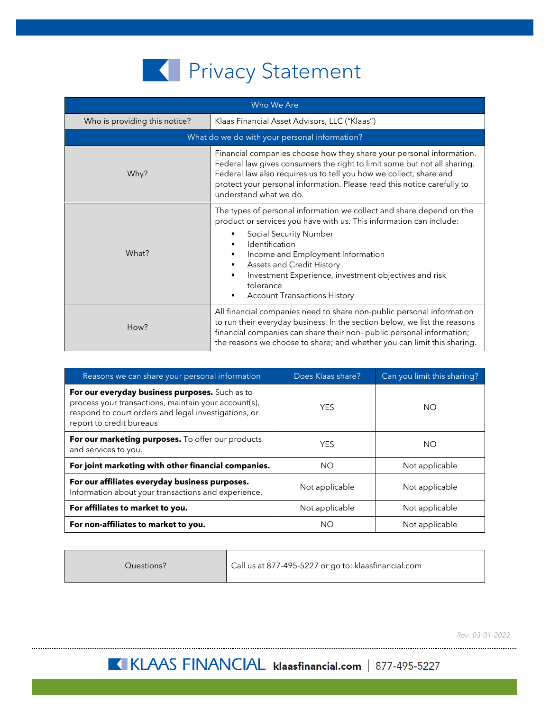## **K** Privacy Statement

| Who We Are                                    |                                                                                                                                                                                                                                                                                                                                                                             |  |
|-----------------------------------------------|-----------------------------------------------------------------------------------------------------------------------------------------------------------------------------------------------------------------------------------------------------------------------------------------------------------------------------------------------------------------------------|--|
| Who is providing this notice?                 | Klaas Financial Asset Advisors, LLC ("Klaas")                                                                                                                                                                                                                                                                                                                               |  |
| What do we do with your personal information? |                                                                                                                                                                                                                                                                                                                                                                             |  |
| Why?                                          | Financial companies choose how they share your personal information.<br>Federal law gives consumers the right to limit some but not all sharing.<br>Federal law also requires us to tell you how we collect, share and<br>protect your personal information. Please read this notice carefully to<br>understand what we do.                                                 |  |
| What?                                         | The types of personal information we collect and share depend on the<br>product or services you have with us. This information can include:<br>Social Security Number<br>Identification<br>Income and Employment Information<br>٠<br>Assets and Credit History<br>Investment Experience, investment objectives and risk<br>tolerance<br><b>Account Transactions History</b> |  |
| How?                                          | All financial companies need to share non-public personal information<br>to run their everyday business. In the section below, we list the reasons<br>financial companies can share their non-public personal information;<br>the reasons we choose to share; and whether you can limit this sharing.                                                                       |  |

| Reasons we can share your personal information                                                                                                                                             | Does Klaas share? | Can you limit this sharing? |
|--------------------------------------------------------------------------------------------------------------------------------------------------------------------------------------------|-------------------|-----------------------------|
| For our everyday business purposes. Such as to<br>process your transactions, maintain your account(s),<br>respond to court orders and legal investigations, or<br>report to credit bureaus | <b>YES</b>        | NO.                         |
| For our marketing purposes. To offer our products<br>and services to you.                                                                                                                  | <b>YFS</b>        | NO.                         |
| For joint marketing with other financial companies.                                                                                                                                        | NO.               | Not applicable              |
| For our affiliates everyday business purposes.<br>Information about your transactions and experience.                                                                                      | Not applicable    | Not applicable              |
| For affiliates to market to you.                                                                                                                                                           | Not applicable    | Not applicable              |
| For non-affiliates to market to you.                                                                                                                                                       | NΟ                | Not applicable              |

Questions? Call us at 877-495-5227 or go to: klaasfinancial.com

*Rev. 03-01-2022*